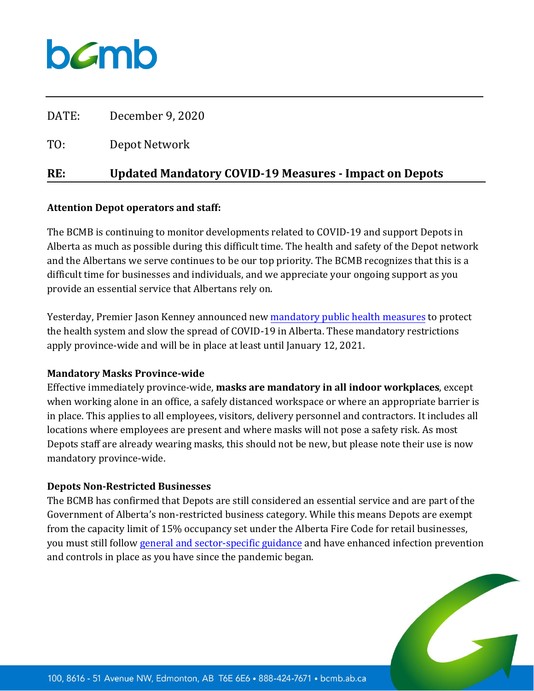

| RE:   | <b>Updated Mandatory COVID-19 Measures - Impact on Depots</b> |
|-------|---------------------------------------------------------------|
| TO:   | Depot Network                                                 |
| DATE: | December 9, 2020                                              |

#### **Attention Depot operators and staff:**

The BCMB is continuing to monitor developments related to COVID-19 and support Depots in Alberta as much as possible during this difficult time. The health and safety of the Depot network and the Albertans we serve continues to be our top priority. The BCMB recognizes that this is a difficult time for businesses and individuals, and we appreciate your ongoing support as you provide an essential service that Albertans rely on.

Yesterday, Premier Jason Kenney announced new [mandatory public health measures](https://www.alberta.ca/enhanced-public-health-measures.aspx) to protect the health system and slow the spread of COVID-19 in Alberta. These mandatory restrictions apply province-wide and will be in place at least until January 12, 2021.

### **Mandatory Masks Province-wide**

Effective immediately province-wide, **masks are mandatory in all indoor workplaces**, except when working alone in an office, a safely distanced workspace or where an appropriate barrier is in place. This applies to all employees, visitors, delivery personnel and contractors. It includes all locations where employees are present and where masks will not pose a safety risk. As most Depots staff are already wearing masks, this should not be new, but please note their use is now mandatory province-wide.

### **Depots Non-Restricted Businesses**

The BCMB has confirmed that Depots are still considered an essential service and are part of the Government of Alberta's non-restricted business category. While this means Depots are exempt from the capacity limit of 15% occupancy set under the Alberta Fire Code for retail businesses, you must still follow [general and sector-specific guidance](https://www.alberta.ca/guidance-documents.aspx#toc-2) and have enhanced infection prevention and controls in place as you have since the pandemic began.